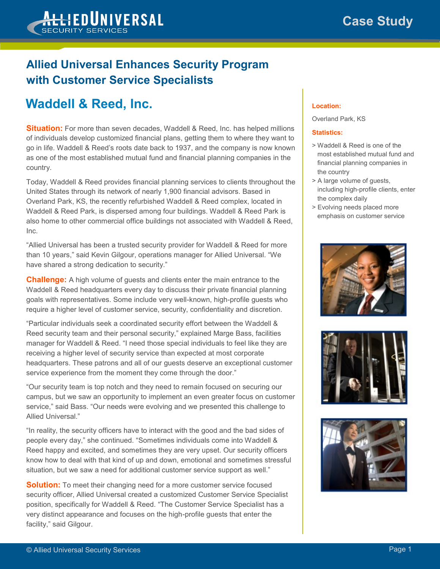

## **Allied Universal Enhances Security Program with Customer Service Specialists**

## **Waddell & Reed, Inc.**

**Situation:** For more than seven decades, Waddell & Reed, Inc. has helped millions of individuals develop customized financial plans, getting them to where they want to go in life. Waddell & Reed's roots date back to 1937, and the company is now known as one of the most established mutual fund and financial planning companies in the country.

Today, Waddell & Reed provides financial planning services to clients throughout the United States through its network of nearly 1,900 financial advisors. Based in Overland Park, KS, the recently refurbished Waddell & Reed complex, located in Waddell & Reed Park, is dispersed among four buildings. Waddell & Reed Park is also home to other commercial office buildings not associated with Waddell & Reed, Inc.

"Allied Universal has been a trusted security provider for Waddell & Reed for more than 10 years," said Kevin Gilgour, operations manager for Allied Universal. "We have shared a strong dedication to security."

**Challenge:** A high volume of guests and clients enter the main entrance to the Waddell & Reed headquarters every day to discuss their private financial planning goals with representatives. Some include very well-known, high-profile guests who require a higher level of customer service, security, confidentiality and discretion.

"Particular individuals seek a coordinated security effort between the Waddell & Reed security team and their personal security," explained Marge Bass, facilities manager for Waddell & Reed. "I need those special individuals to feel like they are receiving a higher level of security service than expected at most corporate headquarters. These patrons and all of our guests deserve an exceptional customer service experience from the moment they come through the door."

"Our security team is top notch and they need to remain focused on securing our campus, but we saw an opportunity to implement an even greater focus on customer service," said Bass. "Our needs were evolving and we presented this challenge to Allied Universal."

"In reality, the security officers have to interact with the good and the bad sides of people every day," she continued. "Sometimes individuals come into Waddell & Reed happy and excited, and sometimes they are very upset. Our security officers know how to deal with that kind of up and down, emotional and sometimes stressful situation, but we saw a need for additional customer service support as well."

**Solution:** To meet their changing need for a more customer service focused security officer, Allied Universal created a customized Customer Service Specialist position, specifically for Waddell & Reed. "The Customer Service Specialist has a very distinct appearance and focuses on the high-profile guests that enter the facility," said Gilgour.

## **Location:**

Overland Park, KS

## **Statistics:**

- > Waddell & Reed is one of the most established mutual fund and financial planning companies in the country
- > A large volume of guests, including high-profile clients, enter the complex daily
- > Evolving needs placed more emphasis on customer service